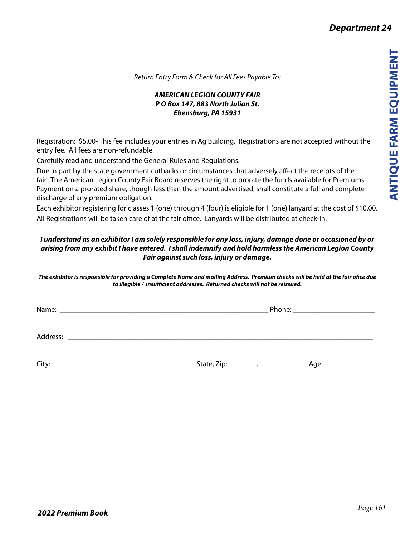*Return Entry Form & Check for All Fees Payable To:*

## *AMERICAN LEGION COUNTY FAIR P O Box 147, 883 North Julian St. Ebensburg, PA 15931*

Registration: \$5.00- This fee includes your entries in Ag Building. Registrations are not accepted without the entry fee. All fees are non-refundable.

Carefully read and understand the General Rules and Regulations.

Due in part by the state government cutbacks or circumstances that adversely affect the receipts of the fair. The American Legion County Fair Board reserves the right to prorate the funds available for Premiums. Payment on a prorated share, though less than the amount advertised, shall constitute a full and complete discharge of any premium obligation.

Each exhibitor registering for classes 1 (one) through 4 (four) is eligible for 1 (one) lanyard at the cost of \$10.00. All Registrations will be taken care of at the fair office. Lanyards will be distributed at check-in.

## *I understand as an exhibitor I am solely responsible for any loss, injury, damage done or occasioned by or arising from any exhibit I have entered. I shall indemnify and hold harmless the American Legion County Fair against such loss, injury or damage.*

*The exhibitor is responsible for providing a Complete Name and mailing Address. Premium checks will be held at the fair ofice due to illegible / insufficient addresses. Returned checks will not be reissued.*

Name: \_\_\_\_\_\_\_\_\_\_\_\_\_\_\_\_\_\_\_\_\_\_\_\_\_\_\_\_\_\_\_\_\_\_\_\_\_\_\_\_\_\_\_\_\_\_\_\_\_\_\_\_\_\_\_\_ Phone: \_\_\_\_\_\_\_\_\_\_\_\_\_\_\_\_\_\_\_\_\_\_ Address: City: \_\_\_\_\_\_\_\_\_\_\_\_\_\_\_\_\_\_\_\_\_\_\_\_\_\_\_\_\_\_\_\_\_\_\_\_\_\_ State, Zip: \_\_\_\_\_\_\_, \_\_\_\_\_\_\_\_\_\_\_\_ Age: \_\_\_\_\_\_\_\_\_\_\_\_\_\_